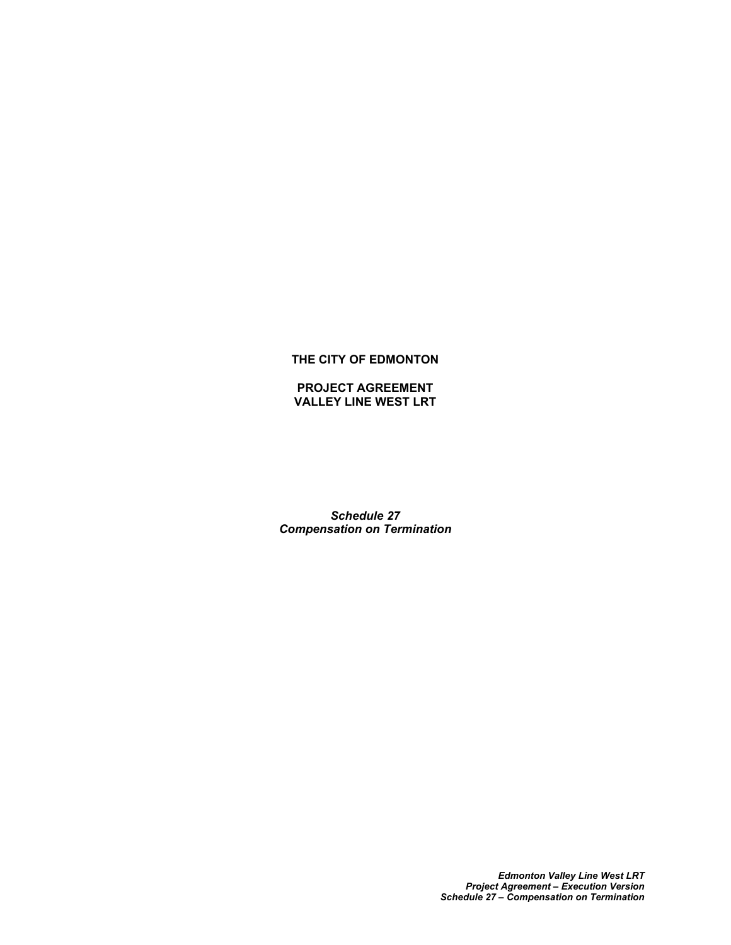# **THE CITY OF EDMONTON**

**PROJECT AGREEMENT VALLEY LINE WEST LRT**

*Schedule 27 Compensation on Termination*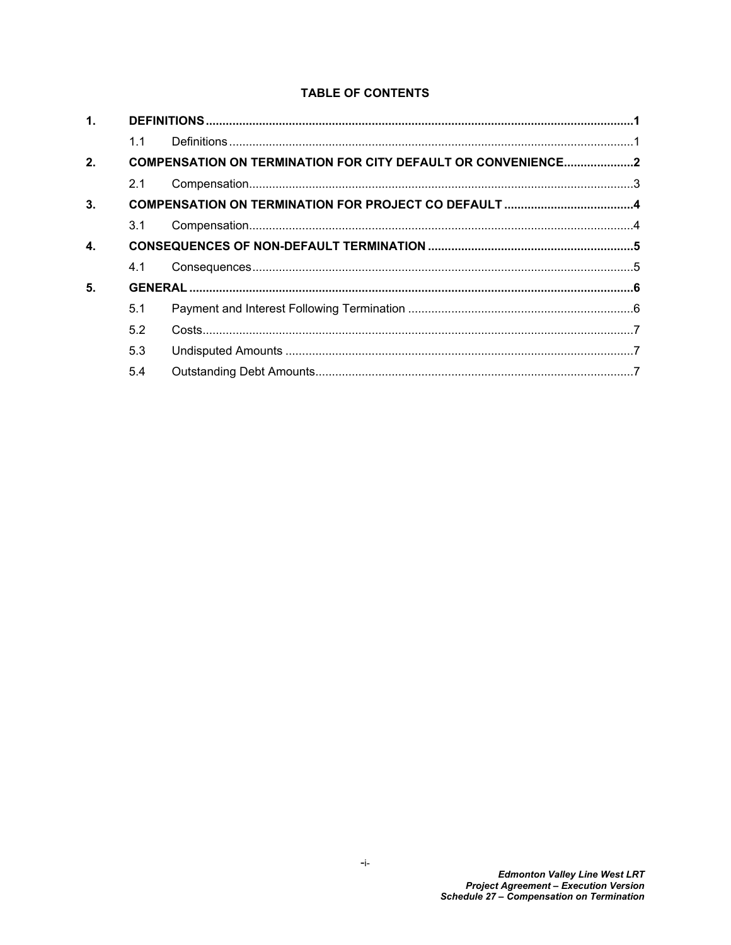# **TABLE OF CONTENTS**

| 1.           |                                                                     |  |  |
|--------------|---------------------------------------------------------------------|--|--|
|              | 1.1                                                                 |  |  |
| 2.           | <b>COMPENSATION ON TERMINATION FOR CITY DEFAULT OR CONVENIENCE2</b> |  |  |
|              | 2.1                                                                 |  |  |
| 3.           |                                                                     |  |  |
|              | 3.1                                                                 |  |  |
| $\mathbf{4}$ |                                                                     |  |  |
|              | 4.1                                                                 |  |  |
| 5.           |                                                                     |  |  |
|              | 5.1                                                                 |  |  |
|              | 5.2                                                                 |  |  |
|              | 5.3                                                                 |  |  |
|              | 5.4                                                                 |  |  |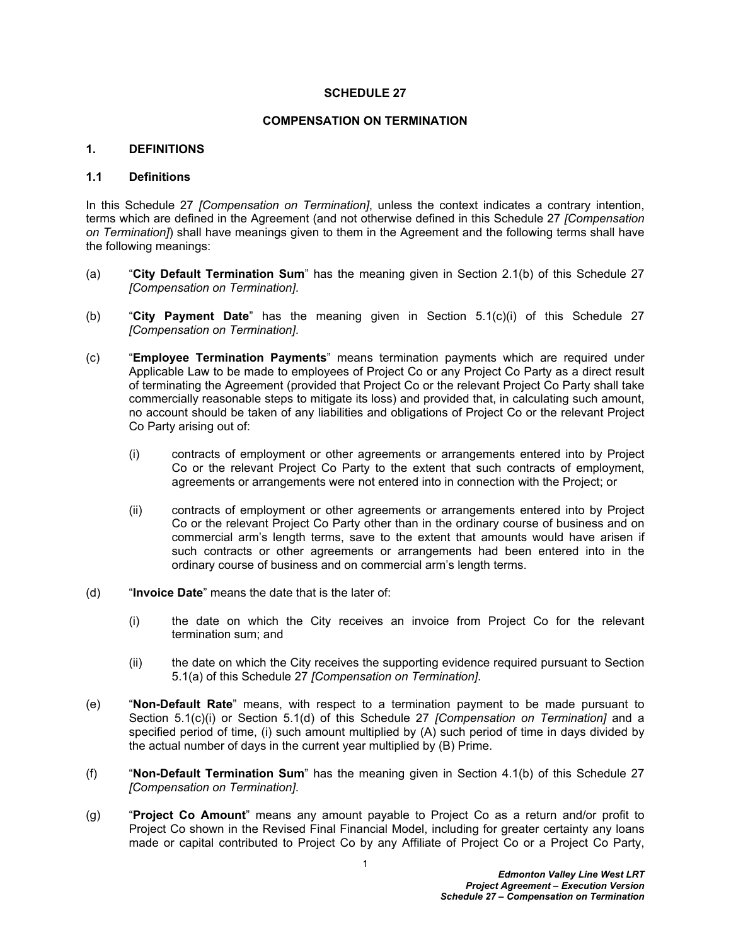#### **SCHEDULE 27**

### **COMPENSATION ON TERMINATION**

# <span id="page-2-0"></span>**1. DEFINITIONS**

# <span id="page-2-1"></span>**1.1 Definitions**

In this Schedule 27 *[Compensation on Termination]*, unless the context indicates a contrary intention, terms which are defined in the Agreement (and not otherwise defined in this Schedule 27 *[Compensation on Termination]*) shall have meanings given to them in the Agreement and the following terms shall have the following meanings:

- (a) "**City Default Termination Sum**" has the meaning given in Section [2.1\(b\)](#page-4-2) of this Schedule 27 *[Compensation on Termination]*.
- (b) "**City Payment Date**" has the meaning given in Section [5.1\(c\)\(i\)](#page-7-2) of this Schedule 27 *[Compensation on Termination]*.
- (c) "**Employee Termination Payments**" means termination payments which are required under Applicable Law to be made to employees of Project Co or any Project Co Party as a direct result of terminating the Agreement (provided that Project Co or the relevant Project Co Party shall take commercially reasonable steps to mitigate its loss) and provided that, in calculating such amount, no account should be taken of any liabilities and obligations of Project Co or the relevant Project Co Party arising out of:
	- (i) contracts of employment or other agreements or arrangements entered into by Project Co or the relevant Project Co Party to the extent that such contracts of employment, agreements or arrangements were not entered into in connection with the Project; or
	- (ii) contracts of employment or other agreements or arrangements entered into by Project Co or the relevant Project Co Party other than in the ordinary course of business and on commercial arm's length terms, save to the extent that amounts would have arisen if such contracts or other agreements or arrangements had been entered into in the ordinary course of business and on commercial arm's length terms.
- (d) "**Invoice Date**" means the date that is the later of:
	- (i) the date on which the City receives an invoice from Project Co for the relevant termination sum; and
	- (ii) the date on which the City receives the supporting evidence required pursuant to Section [5.1\(a\)](#page-7-3) of this Schedule 27 *[Compensation on Termination]*.
- (e) "**Non-Default Rate**" means, with respect to a termination payment to be made pursuant to Section [5.1\(c\)\(i\)](#page-7-2) or Section [5.1\(d\)](#page-8-3) of this Schedule 27 *[Compensation on Termination]* and a specified period of time, (i) such amount multiplied by (A) such period of time in days divided by the actual number of days in the current year multiplied by (B) Prime.
- (f) "**Non-Default Termination Sum**" has the meaning given in Section [4.1\(b\)](#page-6-2) of this Schedule 27 *[Compensation on Termination]*.
- (g) "**Project Co Amount**" means any amount payable to Project Co as a return and/or profit to Project Co shown in the Revised Final Financial Model, including for greater certainty any loans made or capital contributed to Project Co by any Affiliate of Project Co or a Project Co Party,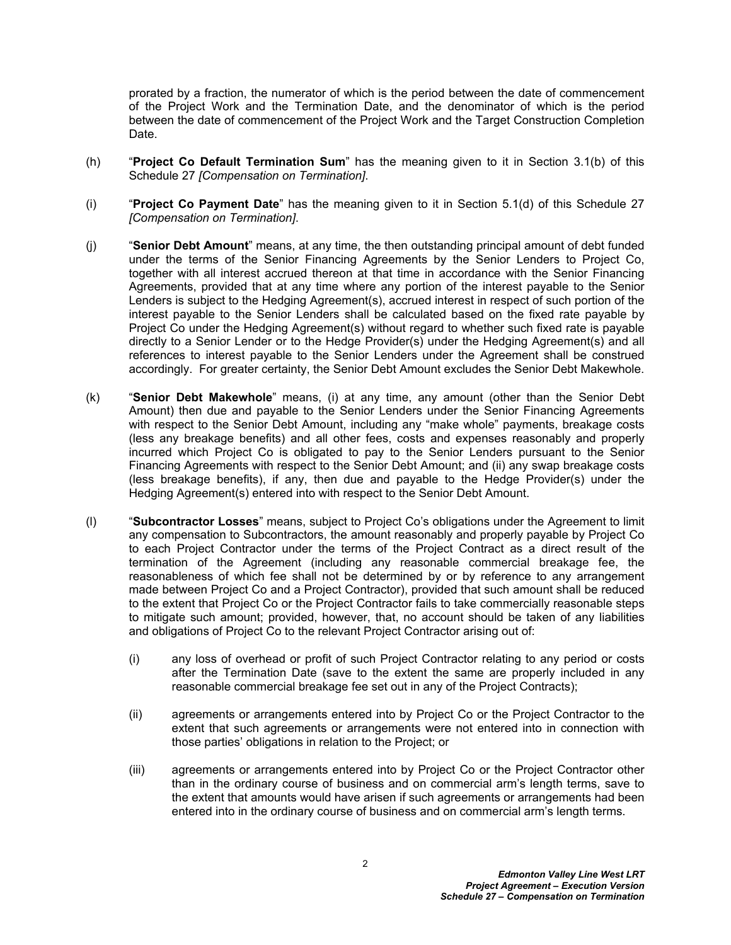prorated by a fraction, the numerator of which is the period between the date of commencement of the Project Work and the Termination Date, and the denominator of which is the period between the date of commencement of the Project Work and the Target Construction Completion Date.

- (h) "**Project Co Default Termination Sum**" has the meaning given to it in Section [3.1\(b\)](#page-5-2) of this Schedule 27 *[Compensation on Termination]*.
- (i) "**Project Co Payment Date**" has the meaning given to it in Section [5.1\(d\)](#page-8-3) of this Schedule 27 *[Compensation on Termination]*.
- (j) "**Senior Debt Amount**" means, at any time, the then outstanding principal amount of debt funded under the terms of the Senior Financing Agreements by the Senior Lenders to Project Co, together with all interest accrued thereon at that time in accordance with the Senior Financing Agreements, provided that at any time where any portion of the interest payable to the Senior Lenders is subject to the Hedging Agreement(s), accrued interest in respect of such portion of the interest payable to the Senior Lenders shall be calculated based on the fixed rate payable by Project Co under the Hedging Agreement(s) without regard to whether such fixed rate is payable directly to a Senior Lender or to the Hedge Provider(s) under the Hedging Agreement(s) and all references to interest payable to the Senior Lenders under the Agreement shall be construed accordingly. For greater certainty, the Senior Debt Amount excludes the Senior Debt Makewhole.
- (k) "**Senior Debt Makewhole**" means, (i) at any time, any amount (other than the Senior Debt Amount) then due and payable to the Senior Lenders under the Senior Financing Agreements with respect to the Senior Debt Amount, including any "make whole" payments, breakage costs (less any breakage benefits) and all other fees, costs and expenses reasonably and properly incurred which Project Co is obligated to pay to the Senior Lenders pursuant to the Senior Financing Agreements with respect to the Senior Debt Amount; and (ii) any swap breakage costs (less breakage benefits), if any, then due and payable to the Hedge Provider(s) under the Hedging Agreement(s) entered into with respect to the Senior Debt Amount.
- (l) "**Subcontractor Losses**" means, subject to Project Co's obligations under the Agreement to limit any compensation to Subcontractors, the amount reasonably and properly payable by Project Co to each Project Contractor under the terms of the Project Contract as a direct result of the termination of the Agreement (including any reasonable commercial breakage fee, the reasonableness of which fee shall not be determined by or by reference to any arrangement made between Project Co and a Project Contractor), provided that such amount shall be reduced to the extent that Project Co or the Project Contractor fails to take commercially reasonable steps to mitigate such amount; provided, however, that, no account should be taken of any liabilities and obligations of Project Co to the relevant Project Contractor arising out of:
	- (i) any loss of overhead or profit of such Project Contractor relating to any period or costs after the Termination Date (save to the extent the same are properly included in any reasonable commercial breakage fee set out in any of the Project Contracts);
	- (ii) agreements or arrangements entered into by Project Co or the Project Contractor to the extent that such agreements or arrangements were not entered into in connection with those parties' obligations in relation to the Project; or
	- (iii) agreements or arrangements entered into by Project Co or the Project Contractor other than in the ordinary course of business and on commercial arm's length terms, save to the extent that amounts would have arisen if such agreements or arrangements had been entered into in the ordinary course of business and on commercial arm's length terms.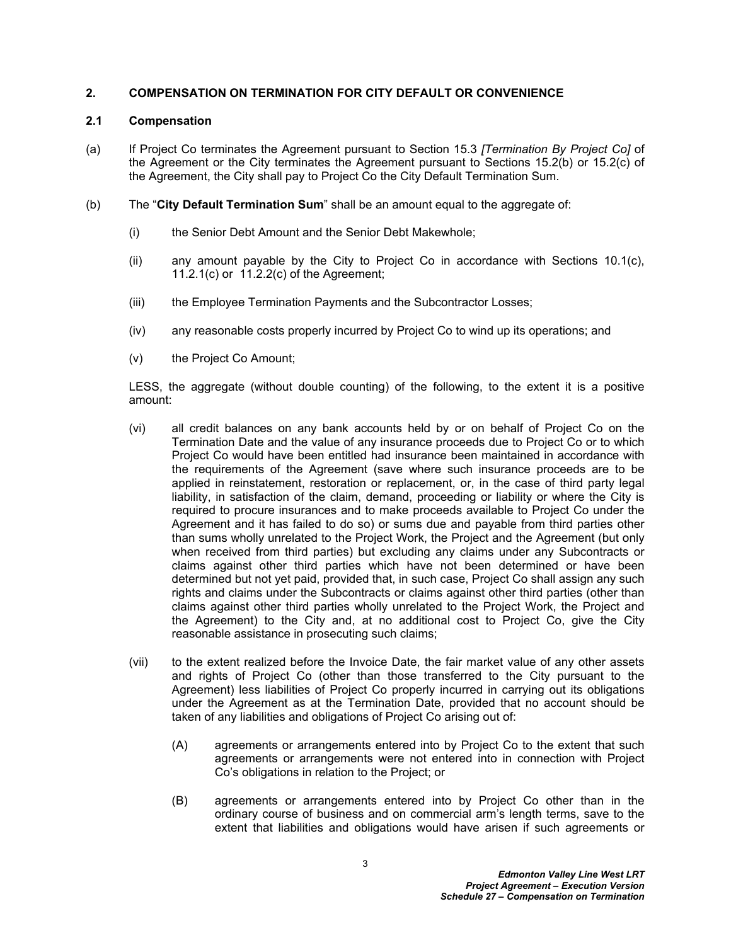# <span id="page-4-0"></span>**2. COMPENSATION ON TERMINATION FOR CITY DEFAULT OR CONVENIENCE**

# <span id="page-4-1"></span>**2.1 Compensation**

- (a) If Project Co terminates the Agreement pursuant to Section 15.3 *[Termination By Project Co]* of the Agreement or the City terminates the Agreement pursuant to Sections 15.2(b) or 15.2(c) of the Agreement, the City shall pay to Project Co the City Default Termination Sum.
- <span id="page-4-2"></span>(b) The "**City Default Termination Sum**" shall be an amount equal to the aggregate of:
	- (i) the Senior Debt Amount and the Senior Debt Makewhole;
	- (ii) any amount payable by the City to Project Co in accordance with Sections 10.1(c), 11.2.1(c) or 11.2.2(c) of the Agreement;
	- (iii) the Employee Termination Payments and the Subcontractor Losses;
	- (iv) any reasonable costs properly incurred by Project Co to wind up its operations; and
	- (v) the Project Co Amount;

LESS, the aggregate (without double counting) of the following, to the extent it is a positive amount:

- (vi) all credit balances on any bank accounts held by or on behalf of Project Co on the Termination Date and the value of any insurance proceeds due to Project Co or to which Project Co would have been entitled had insurance been maintained in accordance with the requirements of the Agreement (save where such insurance proceeds are to be applied in reinstatement, restoration or replacement, or, in the case of third party legal liability, in satisfaction of the claim, demand, proceeding or liability or where the City is required to procure insurances and to make proceeds available to Project Co under the Agreement and it has failed to do so) or sums due and payable from third parties other than sums wholly unrelated to the Project Work, the Project and the Agreement (but only when received from third parties) but excluding any claims under any Subcontracts or claims against other third parties which have not been determined or have been determined but not yet paid, provided that, in such case, Project Co shall assign any such rights and claims under the Subcontracts or claims against other third parties (other than claims against other third parties wholly unrelated to the Project Work, the Project and the Agreement) to the City and, at no additional cost to Project Co, give the City reasonable assistance in prosecuting such claims;
- <span id="page-4-3"></span>(vii) to the extent realized before the Invoice Date, the fair market value of any other assets and rights of Project Co (other than those transferred to the City pursuant to the Agreement) less liabilities of Project Co properly incurred in carrying out its obligations under the Agreement as at the Termination Date, provided that no account should be taken of any liabilities and obligations of Project Co arising out of:
	- (A) agreements or arrangements entered into by Project Co to the extent that such agreements or arrangements were not entered into in connection with Project Co's obligations in relation to the Project; or
	- (B) agreements or arrangements entered into by Project Co other than in the ordinary course of business and on commercial arm's length terms, save to the extent that liabilities and obligations would have arisen if such agreements or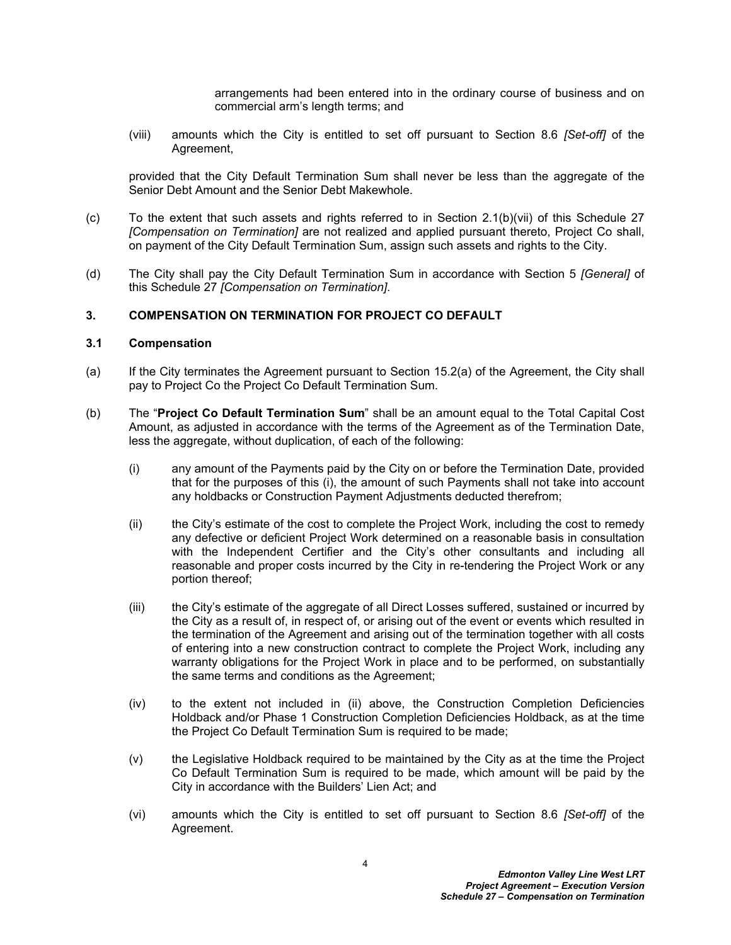arrangements had been entered into in the ordinary course of business and on commercial arm's length terms; and

(viii) amounts which the City is entitled to set off pursuant to Section 8.6 *[Set-off]* of the Agreement,

provided that the City Default Termination Sum shall never be less than the aggregate of the Senior Debt Amount and the Senior Debt Makewhole.

- (c) To the extent that such assets and rights referred to in Section [2.1\(b\)\(vii\)](#page-4-3) of this Schedule 27 *[Compensation on Termination]* are not realized and applied pursuant thereto, Project Co shall, on payment of the City Default Termination Sum, assign such assets and rights to the City.
- (d) The City shall pay the City Default Termination Sum in accordance with Section [5](#page-7-0) *[General]* of this Schedule 27 *[Compensation on Termination]*.

# <span id="page-5-0"></span>**3. COMPENSATION ON TERMINATION FOR PROJECT CO DEFAULT**

#### <span id="page-5-1"></span>**3.1 Compensation**

- (a) If the City terminates the Agreement pursuant to Section 15.2(a) of the Agreement, the City shall pay to Project Co the Project Co Default Termination Sum.
- <span id="page-5-5"></span><span id="page-5-4"></span><span id="page-5-3"></span><span id="page-5-2"></span>(b) The "**Project Co Default Termination Sum**" shall be an amount equal to the Total Capital Cost Amount, as adjusted in accordance with the terms of the Agreement as of the Termination Date, less the aggregate, without duplication, of each of the following:
	- (i) any amount of the Payments paid by the City on or before the Termination Date, provided that for the purposes of this (i), the amount of such Payments shall not take into account any holdbacks or Construction Payment Adjustments deducted therefrom;
	- (ii) the City's estimate of the cost to complete the Project Work, including the cost to remedy any defective or deficient Project Work determined on a reasonable basis in consultation with the Independent Certifier and the City's other consultants and including all reasonable and proper costs incurred by the City in re-tendering the Project Work or any portion thereof;
	- (iii) the City's estimate of the aggregate of all Direct Losses suffered, sustained or incurred by the City as a result of, in respect of, or arising out of the event or events which resulted in the termination of the Agreement and arising out of the termination together with all costs of entering into a new construction contract to complete the Project Work, including any warranty obligations for the Project Work in place and to be performed, on substantially the same terms and conditions as the Agreement;
	- (iv) to the extent not included in [\(ii\)](#page-5-3) above, the Construction Completion Deficiencies Holdback and/or Phase 1 Construction Completion Deficiencies Holdback, as at the time the Project Co Default Termination Sum is required to be made;
	- (v) the Legislative Holdback required to be maintained by the City as at the time the Project Co Default Termination Sum is required to be made, which amount will be paid by the City in accordance with the Builders' Lien Act; and
	- (vi) amounts which the City is entitled to set off pursuant to Section 8.6 *[Set-off]* of the Agreement.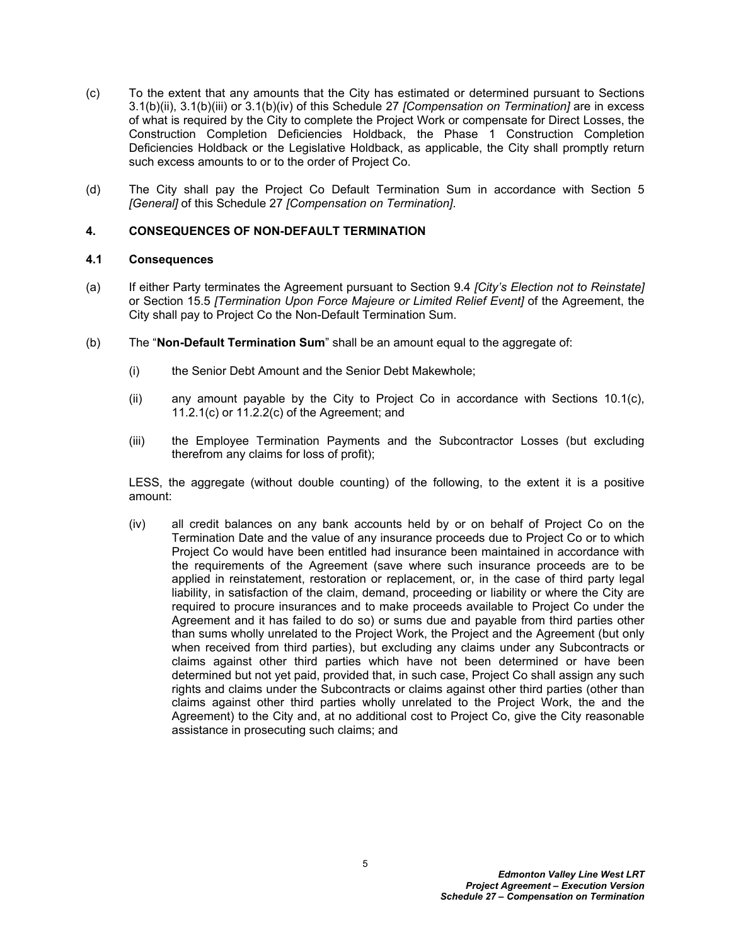- (c) To the extent that any amounts that the City has estimated or determined pursuant to Sections [3.1\(b\)\(ii\)](#page-5-3), [3.1\(b\)\(iii\)](#page-5-4) or [3.1\(b\)\(iv\)](#page-5-5) of this Schedule 27 *[Compensation on Termination]* are in excess of what is required by the City to complete the Project Work or compensate for Direct Losses, the Construction Completion Deficiencies Holdback, the Phase 1 Construction Completion Deficiencies Holdback or the Legislative Holdback, as applicable, the City shall promptly return such excess amounts to or to the order of Project Co.
- (d) The City shall pay the Project Co Default Termination Sum in accordance with Section [5](#page-7-0)  *[General]* of this Schedule 27 *[Compensation on Termination]*.

# <span id="page-6-0"></span>**4. CONSEQUENCES OF NON-DEFAULT TERMINATION**

# <span id="page-6-1"></span>**4.1 Consequences**

- (a) If either Party terminates the Agreement pursuant to Section 9.4 *[City's Election not to Reinstate]* or Section 15.5 *[Termination Upon Force Majeure or Limited Relief Event]* of the Agreement, the City shall pay to Project Co the Non-Default Termination Sum.
- <span id="page-6-2"></span>(b) The "**Non-Default Termination Sum**" shall be an amount equal to the aggregate of:
	- (i) the Senior Debt Amount and the Senior Debt Makewhole;
	- (ii) any amount payable by the City to Project Co in accordance with Sections 10.1(c), 11.2.1(c) or 11.2.2(c) of the Agreement; and
	- (iii) the Employee Termination Payments and the Subcontractor Losses (but excluding therefrom any claims for loss of profit);

LESS, the aggregate (without double counting) of the following, to the extent it is a positive amount:

(iv) all credit balances on any bank accounts held by or on behalf of Project Co on the Termination Date and the value of any insurance proceeds due to Project Co or to which Project Co would have been entitled had insurance been maintained in accordance with the requirements of the Agreement (save where such insurance proceeds are to be applied in reinstatement, restoration or replacement, or, in the case of third party legal liability, in satisfaction of the claim, demand, proceeding or liability or where the City are required to procure insurances and to make proceeds available to Project Co under the Agreement and it has failed to do so) or sums due and payable from third parties other than sums wholly unrelated to the Project Work, the Project and the Agreement (but only when received from third parties), but excluding any claims under any Subcontracts or claims against other third parties which have not been determined or have been determined but not yet paid, provided that, in such case, Project Co shall assign any such rights and claims under the Subcontracts or claims against other third parties (other than claims against other third parties wholly unrelated to the Project Work, the and the Agreement) to the City and, at no additional cost to Project Co, give the City reasonable assistance in prosecuting such claims; and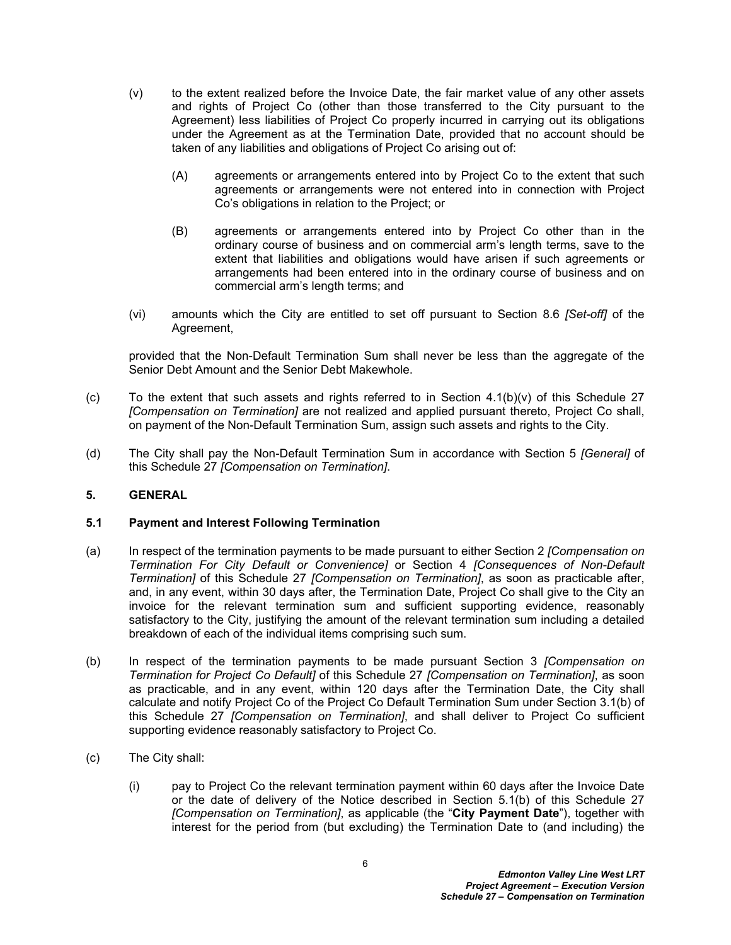- <span id="page-7-4"></span>(v) to the extent realized before the Invoice Date, the fair market value of any other assets and rights of Project Co (other than those transferred to the City pursuant to the Agreement) less liabilities of Project Co properly incurred in carrying out its obligations under the Agreement as at the Termination Date, provided that no account should be taken of any liabilities and obligations of Project Co arising out of:
	- (A) agreements or arrangements entered into by Project Co to the extent that such agreements or arrangements were not entered into in connection with Project Co's obligations in relation to the Project; or
	- (B) agreements or arrangements entered into by Project Co other than in the ordinary course of business and on commercial arm's length terms, save to the extent that liabilities and obligations would have arisen if such agreements or arrangements had been entered into in the ordinary course of business and on commercial arm's length terms; and
- (vi) amounts which the City are entitled to set off pursuant to Section 8.6 *[Set-off]* of the Agreement,

provided that the Non-Default Termination Sum shall never be less than the aggregate of the Senior Debt Amount and the Senior Debt Makewhole.

- (c) To the extent that such assets and rights referred to in Section  $4.1(b)(v)$  of this Schedule 27 *[Compensation on Termination]* are not realized and applied pursuant thereto, Project Co shall, on payment of the Non-Default Termination Sum, assign such assets and rights to the City.
- (d) The City shall pay the Non-Default Termination Sum in accordance with Section [5](#page-7-0) *[General]* of this Schedule 27 *[Compensation on Termination]*.

# <span id="page-7-0"></span>**5. GENERAL**

# <span id="page-7-1"></span>**5.1 Payment and Interest Following Termination**

- <span id="page-7-3"></span>(a) In respect of the termination payments to be made pursuant to either Section [2](#page-4-0) *[Compensation on Termination For City Default or Convenience]* or Section [4](#page-6-0) *[Consequences of Non-Default Termination]* of this Schedule 27 *[Compensation on Termination]*, as soon as practicable after, and, in any event, within 30 days after, the Termination Date, Project Co shall give to the City an invoice for the relevant termination sum and sufficient supporting evidence, reasonably satisfactory to the City, justifying the amount of the relevant termination sum including a detailed breakdown of each of the individual items comprising such sum.
- <span id="page-7-5"></span>(b) In respect of the termination payments to be made pursuant Section [3](#page-5-0) *[Compensation on Termination for Project Co Default]* of this Schedule 27 *[Compensation on Termination]*, as soon as practicable, and in any event, within 120 days after the Termination Date, the City shall calculate and notify Project Co of the Project Co Default Termination Sum under Section [3.1\(b\)](#page-5-2) of this Schedule 27 *[Compensation on Termination]*, and shall deliver to Project Co sufficient supporting evidence reasonably satisfactory to Project Co.
- <span id="page-7-2"></span>(c) The City shall:
	- (i) pay to Project Co the relevant termination payment within 60 days after the Invoice Date or the date of delivery of the Notice described in Section [5.1\(b\)](#page-7-5) of this Schedule 27 *[Compensation on Termination]*, as applicable (the "**City Payment Date**"), together with interest for the period from (but excluding) the Termination Date to (and including) the